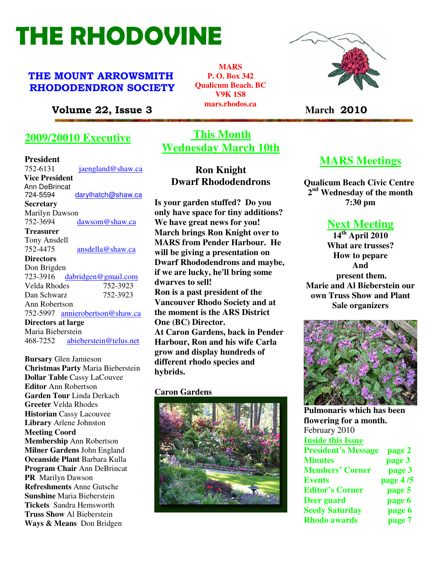# THE RHODOVINE

## THE MOUNT ARROWSMITH RHODODENDRON SOCIETY

Volume 22, Issue 3 **March** 2010

# **2009/20010 Executive**

**President**  752-6131 jaengland@shaw.ca V**Vice President**  Ann DeBrincat<br>724-5594 darylhatch@shaw.ca **Secretary** Marilyn Dawson 752-3694 dawsom@shaw.ca **Treasurer** Tony Ansdell 752-4475 ansdella@shaw.ca **Directors**  Don Brigden 723-3916 dabridgen@gmail.com<br>Velda Rhodes 752-3923 Velda Rhodes Dan Schwarz 752-3923 Ann Robertson 752-5997 annierobertson@shaw.ca **Directors at large**  Maria Bieberstein 468-7252 abieberstein@telus.net

**Refreshments** Anne Gutsche **Bursary** Glen Jamieson **Christmas Party** Maria Bieberstein **Dollar Table** Cassy LaCouvee **Editor** Ann Robertson **Garden Tour** Linda Derkach **Greeter** Velda Rhodes **Historian** Cassy Lacouvee **Library** Arlene Johnston **Meeting Coord Membership** Ann Robertson **Milner Gardens** John England **Oceanside Plant** Barbara Kulla **Program Chair** Ann DeBrincat **PR** Marilyn Dawson **Sunshine** Maria Bieberstein **Tickets** Sandra Hemsworth **Truss Show** Al Bieberstein **Ways & Means** Don Bridgen

# **This Month Wednesday March 10th**

# **Ron Knight Dwarf Rhododendrons**

**Is your garden stuffed? Do you only have space for tiny additions? We have great news for you! March brings Ron Knight over to MARS from Pender Harbour. He will be giving a presentation on Dwarf Rhododendrons and maybe, if we are lucky, he'll bring some dwarves to sell! Ron is a past president of the Vancouver Rhodo Society and at the moment is the ARS District One (BC) Director. At Caron Gardens, back in Pender Harbour, Ron and his wife Carla grow and display hundreds of different rhodo species and hybrids.** 

#### **Caron Gardens**





# **MARS Meetings**

**Qualicum Beach Civic Centre 2 nd Wednesday of the month 7:30 pm** 

# **Next Meeting**

**14th April 2010 What are trusses? How to pepare And present them. Marie and Al Bieberstein our own Truss Show and Plant Sale organizers** 



**Pulmonaris which has been flowering for a month.**  February 2010 **Inside this Issue President's Message page 2 Minutes page 3 Members' Corner page 3 Events page 4 /5 Editor's Corner page 5 Deer guard page 6 Seedy Saturday page 6 Rhodo awards page 7** 

**MARS P. O. Box 342 Qualicum Beach. BC V9K 1S8 mars.rhodos.ca**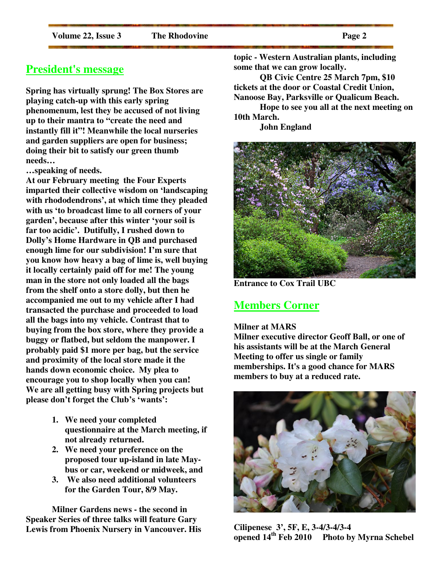# **President's message**

**Spring has virtually sprung! The Box Stores are playing catch-up with this early spring phenomenum, lest they be accused of not living up to their mantra to "create the need and instantly fill it"! Meanwhile the local nurseries and garden suppliers are open for business; doing their bit to satisfy our green thumb needs…** 

**…speaking of needs.** 

**At our February meeting the Four Experts imparted their collective wisdom on 'landscaping with rhododendrons', at which time they pleaded with us 'to broadcast lime to all corners of your garden', because after this winter 'your soil is far too acidic'. Dutifully, I rushed down to Dolly's Home Hardware in QB and purchased enough lime for our subdivision! I'm sure that you know how heavy a bag of lime is, well buying it locally certainly paid off for me! The young man in the store not only loaded all the bags from the shelf onto a store dolly, but then he accompanied me out to my vehicle after I had transacted the purchase and proceeded to load all the bags into my vehicle. Contrast that to buying from the box store, where they provide a buggy or flatbed, but seldom the manpower. I probably paid \$1 more per bag, but the service and proximity of the local store made it the hands down economic choice. My plea to encourage you to shop locally when you can! We are all getting busy with Spring projects but please don't forget the Club's 'wants':** 

- **1. We need your completed questionnaire at the March meeting, if not already returned.**
- **2. We need your preference on the proposed tour up-island in late Maybus or car, weekend or midweek, and**
- **3. We also need additional volunteers for the Garden Tour, 8/9 May.**

**Milner Gardens news - the second in Speaker Series of three talks will feature Gary Lewis from Phoenix Nursery in Vancouver. His** 

**topic - Western Australian plants, including some that we can grow locally.** 

**QB Civic Centre 25 March 7pm, \$10 tickets at the door or Coastal Credit Union, Nanoose Bay, Parksville or Qualicum Beach.** 

**Hope to see you all at the next meeting on 10th March.** 

 **John England** 



**Entrance to Cox Trail UBC** 

### **Members Corner**

#### **Milner at MARS**

**Milner executive director Geoff Ball, or one of his assistants will be at the March General Meeting to offer us single or family memberships. It's a good chance for MARS members to buy at a reduced rate.** 



**Cilipenese 3', 5F, E, 3-4/3-4/3-4 opened 14th Feb 2010 Photo by Myrna Schebel**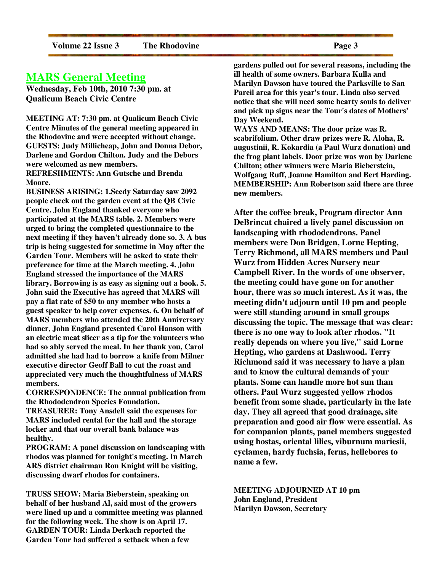### **MARS General Meeting**

**Wednesday, Feb 10th, 2010 7:30 pm. at Qualicum Beach Civic Centre** 

**MEETING AT: 7:30 pm. at Qualicum Beach Civic Centre Minutes of the general meeting appeared in the Rhodovine and were accepted without change. GUESTS: Judy Millicheap, John and Donna Debor, Darlene and Gordon Chilton. Judy and the Debors were welcomed as new members. REFRESHMENTS: Ann Gutsche and Brenda Moore.** 

**BUSINESS ARISING: 1.Seedy Saturday saw 2092 people check out the garden event at the QB Civic Centre. John England thanked everyone who participated at the MARS table. 2. Members were urged to bring the completed questionnaire to the next meeting if they haven't already done so. 3. A bus trip is being suggested for sometime in May after the Garden Tour. Members will be asked to state their preference for time at the March meeting. 4. John England stressed the importance of the MARS library. Borrowing is as easy as signing out a book. 5. John said the Executive has agreed that MARS will pay a flat rate of \$50 to any member who hosts a guest speaker to help cover expenses. 6. On behalf of MARS members who attended the 20th Anniversary dinner, John England presented Carol Hanson with an electric meat slicer as a tip for the volunteers who had so ably served the meal. In her thank you, Carol admitted she had had to borrow a knife from Milner executive director Geoff Ball to cut the roast and appreciated very much the thoughtfulness of MARS members.** 

**CORRESPONDENCE: The annual publication from the Rhododendron Species Foundation.** 

**TREASURER: Tony Ansdell said the expenses for MARS included rental for the hall and the storage locker and that our overall bank balance was healthy.** 

**PROGRAM: A panel discussion on landscaping with rhodos was planned for tonight's meeting. In March ARS district chairman Ron Knight will be visiting, discussing dwarf rhodos for containers.** 

**TRUSS SHOW: Maria Bieberstein, speaking on behalf of her husband Al, said most of the growers were lined up and a committee meeting was planned for the following week. The show is on April 17. GARDEN TOUR: Linda Derkach reported the Garden Tour had suffered a setback when a few** 

**gardens pulled out for several reasons, including the ill health of some owners. Barbara Kulla and Marilyn Dawson have toured the Parksville to San Pareil area for this year's tour. Linda also served notice that she will need some hearty souls to deliver and pick up signs near the Tour's dates of Mothers' Day Weekend.** 

**WAYS AND MEANS: The door prize was R. scabrifolium. Other draw prizes were R. Aloha, R. augustinii, R. Kokardia (a Paul Wurz donation) and the frog plant labels. Door prize was won by Darlene Chilton; other winners were Maria Bieberstein, Wolfgang Ruff, Joanne Hamilton and Bert Harding. MEMBERSHIP: Ann Robertson said there are three new members.** 

**After the coffee break, Program director Ann DeBrincat chaired a lively panel discussion on landscaping with rhododendrons. Panel members were Don Bridgen, Lorne Hepting, Terry Richmond, all MARS members and Paul Wurz from Hidden Acres Nursery near Campbell River. In the words of one observer, the meeting could have gone on for another hour, there was so much interest. As it was, the meeting didn't adjourn until 10 pm and people were still standing around in small groups discussing the topic. The message that was clear: there is no one way to look after rhodos. "It really depends on where you live," said Lorne Hepting, who gardens at Dashwood. Terry Richmond said it was necessary to have a plan and to know the cultural demands of your plants. Some can handle more hot sun than others. Paul Wurz suggested yellow rhodos benefit from some shade, particularly in the late day. They all agreed that good drainage, site preparation and good air flow were essential. As for companion plants, panel members suggested using hostas, oriental lilies, viburnum mariesii, cyclamen, hardy fuchsia, ferns, hellebores to name a few.** 

**MEETING ADJOURNED AT 10 pm John England, President Marilyn Dawson, Secretary**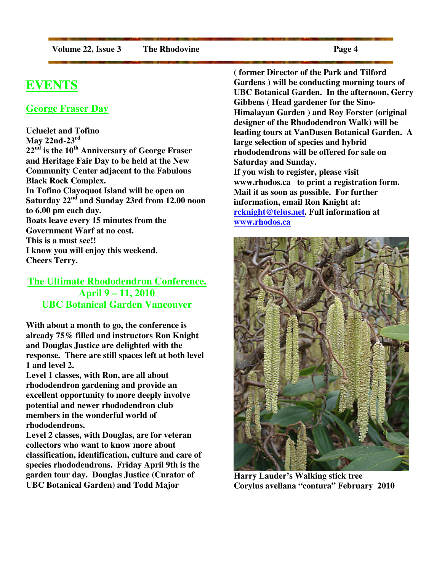# **EVENTS**

#### **George Fraser Day**

**Ucluelet and Tofino May 22nd-23rd 22nd is the 10th Anniversary of George Fraser and Heritage Fair Day to be held at the New Community Center adjacent to the Fabulous Black Rock Complex. In Tofino Clayoquot Island will be open on Saturday 22nd and Sunday 23rd from 12.00 noon to 6.00 pm each day. Boats leave every 15 minutes from the Government Warf at no cost. This is a must see!! I know you will enjoy this weekend. Cheers Terry.** 

**The Ultimate Rhododendron Conference. April 9 – 11, 2010 UBC Botanical Garden Vancouver**

**With about a month to go, the conference is already 75% filled and instructors Ron Knight and Douglas Justice are delighted with the response. There are still spaces left at both level 1 and level 2.** 

**Level 1 classes, with Ron, are all about rhododendron gardening and provide an excellent opportunity to more deeply involve potential and newer rhododendron club members in the wonderful world of rhododendrons.** 

**Level 2 classes, with Douglas, are for veteran collectors who want to know more about classification, identification, culture and care of species rhododendrons. Friday April 9th is the garden tour day. Douglas Justice (Curator of UBC Botanical Garden) and Todd Major** 

**( former Director of the Park and Tilford Gardens ) will be conducting morning tours of UBC Botanical Garden. In the afternoon, Gerry Gibbens ( Head gardener for the Sino-Himalayan Garden ) and Roy Forster (original designer of the Rhododendron Walk) will be leading tours at VanDusen Botanical Garden. A large selection of species and hybrid rhododendrons will be offered for sale on Saturday and Sunday. If you wish to register, please visit www.rhodos.ca to print a registration form. Mail it as soon as possible. For further information, email Ron Knight at: rcknight@telus.net. Full information at www.rhodos.ca** 



**Harry Lauder's Walking stick tree Corylus avellana "contura" February 2010**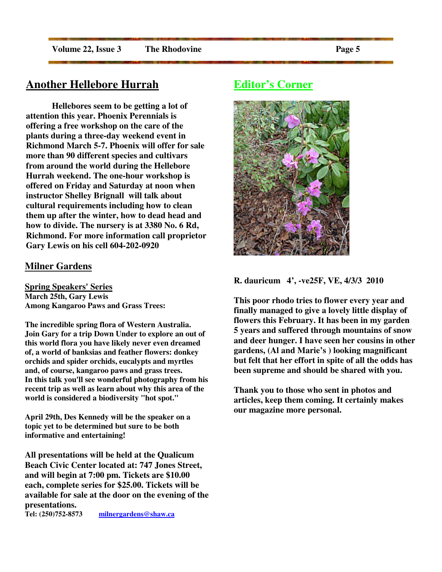# **Another Hellebore Hurrah**

 **Hellebores seem to be getting a lot of attention this year. Phoenix Perennials is offering a free workshop on the care of the plants during a three-day weekend event in Richmond March 5-7. Phoenix will offer for sale more than 90 different species and cultivars from around the world during the Hellebore Hurrah weekend. The one-hour workshop is offered on Friday and Saturday at noon when instructor Shelley Brignall will talk about cultural requirements including how to clean them up after the winter, how to dead head and how to divide. The nursery is at 3380 No. 6 Rd, Richmond. For more information call proprietor Gary Lewis on his cell 604-202-0920** 

#### **Milner Gardens**

**Spring Speakers' Series March 25th, Gary Lewis Among Kangaroo Paws and Grass Trees:** 

**The incredible spring flora of Western Australia. Join Gary for a trip Down Under to explore an out of this world flora you have likely never even dreamed of, a world of banksias and feather flowers: donkey orchids and spider orchids, eucalypts and myrtles and, of course, kangaroo paws and grass trees. In this talk you'll see wonderful photography from his recent trip as well as learn about why this area of the world is considered a biodiversity "hot spot."**

**April 29th, Des Kennedy will be the speaker on a topic yet to be determined but sure to be both informative and entertaining!**

**All presentations will be held at the Qualicum Beach Civic Center located at: 747 Jones Street, and will begin at 7:00 pm. Tickets are \$10.00 each, complete series for \$25.00. Tickets will be available for sale at the door on the evening of the presentations.** 

**Tel: (250)752-8573 milnergardens@shaw.ca** 

# **Editor's Corner**



**R. dauricum 4', -ve25F, VE, 4/3/3 2010** 

**This poor rhodo tries to flower every year and finally managed to give a lovely little display of flowers this February. It has been in my garden 5 years and suffered through mountains of snow and deer hunger. I have seen her cousins in other gardens, (Al and Marie's ) looking magnificant but felt that her effort in spite of all the odds has been supreme and should be shared with you.** 

**Thank you to those who sent in photos and articles, keep them coming. It certainly makes our magazine more personal.**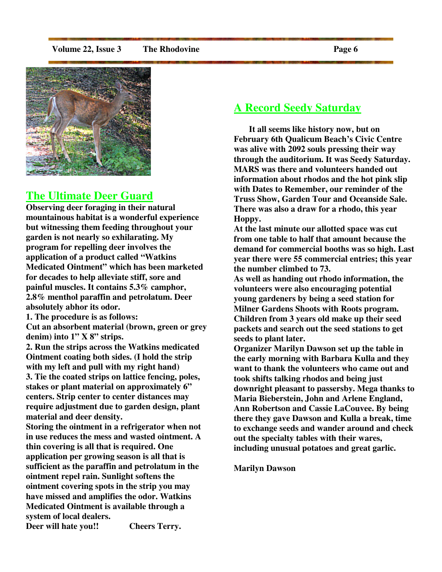#### **Volume 22, Issue 3** The Rhodovine **Page 6 Page 6**



#### **The Ultimate Deer Guard**

**Observing deer foraging in their natural mountainous habitat is a wonderful experience but witnessing them feeding throughout your garden is not nearly so exhilarating. My program for repelling deer involves the application of a product called "Watkins Medicated Ointment" which has been marketed for decades to help alleviate stiff, sore and painful muscles. It contains 5.3% camphor, 2.8% menthol paraffin and petrolatum. Deer absolutely abhor its odor.** 

**1. The procedure is as follows:** 

**Cut an absorbent material (brown, green or grey denim) into 1" X 8" strips.** 

**2. Run the strips across the Watkins medicated Ointment coating both sides. (I hold the strip with my left and pull with my right hand) 3. Tie the coated strips on lattice fencing, poles, stakes or plant material on approximately 6" centers. Strip center to center distances may require adjustment due to garden design, plant material and deer density.** 

**Storing the ointment in a refrigerator when not in use reduces the mess and wasted ointment. A thin covering is all that is required. One application per growing season is all that is sufficient as the paraffin and petrolatum in the ointment repel rain. Sunlight softens the ointment covering spots in the strip you may have missed and amplifies the odor. Watkins Medicated Ointment is available through a system of local dealers. Deer will hate you!! Cheers Terry.** 

# **A Record Seedy Saturday**

 **It all seems like history now, but on February 6th Qualicum Beach's Civic Centre was alive with 2092 souls pressing their way through the auditorium. It was Seedy Saturday. MARS was there and volunteers handed out information about rhodos and the hot pink slip with Dates to Remember, our reminder of the Truss Show, Garden Tour and Oceanside Sale. There was also a draw for a rhodo, this year Hoppy.** 

**At the last minute our allotted space was cut from one table to half that amount because the demand for commercial booths was so high. Last year there were 55 commercial entries; this year the number climbed to 73.** 

**As well as handing out rhodo information, the volunteers were also encouraging potential young gardeners by being a seed station for Milner Gardens Shoots with Roots program. Children from 3 years old make up their seed packets and search out the seed stations to get seeds to plant later.** 

**Organizer Marilyn Dawson set up the table in the early morning with Barbara Kulla and they want to thank the volunteers who came out and took shifts talking rhodos and being just downright pleasant to passersby. Mega thanks to Maria Bieberstein, John and Arlene England, Ann Robertson and Cassie LaCouvee. By being there they gave Dawson and Kulla a break, time to exchange seeds and wander around and check out the specialty tables with their wares, including unusual potatoes and great garlic.** 

#### **Marilyn Dawson**